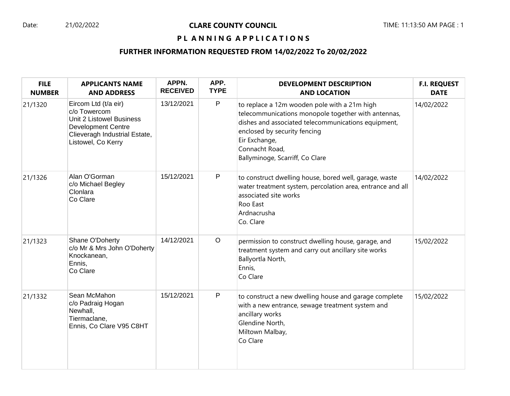# PL ANNING APPLICATIONS

# **FURTHER INFORMATION REQUESTED FROM 14/02/2022 To 20/02/2022**

| <b>FILE</b><br><b>NUMBER</b> | <b>APPLICANTS NAME</b><br><b>AND ADDRESS</b>                                                                                                         | APPN.<br><b>RECEIVED</b> | APP.<br><b>TYPE</b> | <b>DEVELOPMENT DESCRIPTION</b><br><b>AND LOCATION</b>                                                                                                                                                                                                            | <b>F.I. REQUEST</b><br><b>DATE</b> |
|------------------------------|------------------------------------------------------------------------------------------------------------------------------------------------------|--------------------------|---------------------|------------------------------------------------------------------------------------------------------------------------------------------------------------------------------------------------------------------------------------------------------------------|------------------------------------|
| 21/1320                      | Eircom Ltd (t/a eir)<br>c/o Towercom<br>Unit 2 Listowel Business<br><b>Development Centre</b><br>Clieveragh Industrial Estate,<br>Listowel, Co Kerry | 13/12/2021               | $\mathsf P$         | to replace a 12m wooden pole with a 21m high<br>telecommunications monopole together with antennas,<br>dishes and associated telecommunications equipment,<br>enclosed by security fencing<br>Eir Exchange,<br>Connacht Road,<br>Ballyminoge, Scarriff, Co Clare | 14/02/2022                         |
| 21/1326                      | Alan O'Gorman<br>c/o Michael Begley<br>Clonlara<br>Co Clare                                                                                          | 15/12/2021               | P                   | to construct dwelling house, bored well, garage, waste<br>water treatment system, percolation area, entrance and all<br>associated site works<br>Roo East<br>Ardnacrusha<br>Co. Clare                                                                            | 14/02/2022                         |
| 21/1323                      | Shane O'Doherty<br>c/o Mr & Mrs John O'Doherty<br>Knockanean,<br>Ennis,<br>Co Clare                                                                  | 14/12/2021               | $\circ$             | permission to construct dwelling house, garage, and<br>treatment system and carry out ancillary site works<br>Ballyortla North,<br>Ennis,<br>Co Clare                                                                                                            | 15/02/2022                         |
| 21/1332                      | Sean McMahon<br>c/o Padraig Hogan<br>Newhall,<br>Tiermaclane,<br>Ennis, Co Clare V95 C8HT                                                            | 15/12/2021               | $\mathsf{P}$        | to construct a new dwelling house and garage complete<br>with a new entrance, sewage treatment system and<br>ancillary works<br>Glendine North,<br>Miltown Malbay,<br>Co Clare                                                                                   | 15/02/2022                         |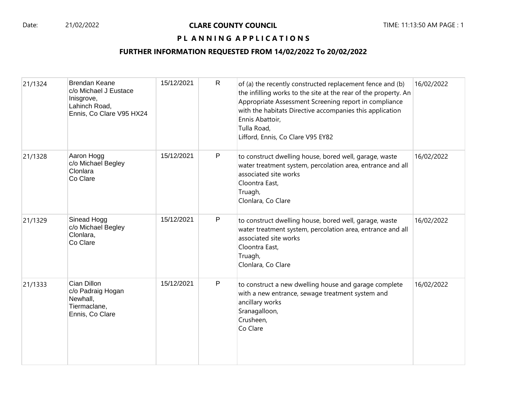#### Date: 21/02/2022 **CLARE COUNTY COUNCIL** TIME: 11:13:50 AM PAGE : 1

# PL ANNING APPLICATIONS

## **FURTHER INFORMATION REQUESTED FROM 14/02/2022 To 20/02/2022**

| 21/1324 | <b>Brendan Keane</b><br>c/o Michael J Eustace<br>Inisgrove,<br>Lahinch Road,<br>Ennis, Co Clare V95 HX24 | 15/12/2021 | $\mathsf{R}$ | of (a) the recently constructed replacement fence and (b)<br>the infilling works to the site at the rear of the property. An<br>Appropriate Assessment Screening report in compliance<br>with the habitats Directive accompanies this application<br>Ennis Abattoir,<br>Tulla Road,<br>Lifford, Ennis, Co Clare V95 EY82 | 16/02/2022 |
|---------|----------------------------------------------------------------------------------------------------------|------------|--------------|--------------------------------------------------------------------------------------------------------------------------------------------------------------------------------------------------------------------------------------------------------------------------------------------------------------------------|------------|
| 21/1328 | Aaron Hogg<br>c/o Michael Begley<br>Clonlara<br>Co Clare                                                 | 15/12/2021 | P            | to construct dwelling house, bored well, garage, waste<br>water treatment system, percolation area, entrance and all<br>associated site works<br>Cloontra East,<br>Truagh,<br>Clonlara, Co Clare                                                                                                                         | 16/02/2022 |
| 21/1329 | Sinead Hogg<br>c/o Michael Begley<br>Clonlara,<br>Co Clare                                               | 15/12/2021 | P            | to construct dwelling house, bored well, garage, waste<br>water treatment system, percolation area, entrance and all<br>associated site works<br>Cloontra East,<br>Truagh,<br>Clonlara, Co Clare                                                                                                                         | 16/02/2022 |
| 21/1333 | Cian Dillon<br>c/o Padraig Hogan<br>Newhall,<br>Tiermaclane,<br>Ennis, Co Clare                          | 15/12/2021 | P            | to construct a new dwelling house and garage complete<br>with a new entrance, sewage treatment system and<br>ancillary works<br>Sranagalloon,<br>Crusheen,<br>Co Clare                                                                                                                                                   | 16/02/2022 |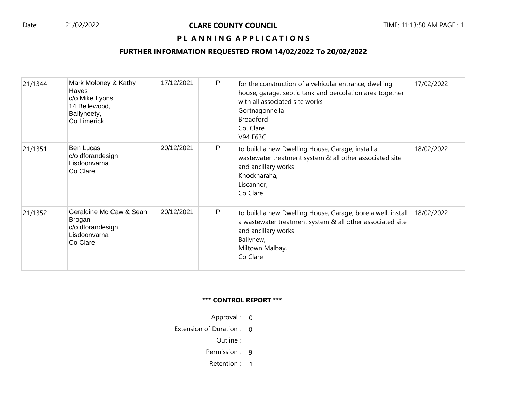#### Date: 21/02/2022 **CLARE COUNTY COUNCIL** TIME: 11:13:50 AM PAGE : 1

## PL ANNING APPLICATIONS

#### **FURTHER INFORMATION REQUESTED FROM 14/02/2022 To 20/02/2022**

| 21/1344 | Mark Moloney & Kathy<br>Hayes<br>c/o Mike Lyons<br>14 Bellewood,<br>Ballyneety,<br>Co Limerick | 17/12/2021 | P | for the construction of a vehicular entrance, dwelling<br>house, garage, septic tank and percolation area together<br>with all associated site works<br>Gortnagonnella<br><b>Broadford</b><br>Co. Clare<br>V94 E63C | 17/02/2022 |
|---------|------------------------------------------------------------------------------------------------|------------|---|---------------------------------------------------------------------------------------------------------------------------------------------------------------------------------------------------------------------|------------|
| 21/1351 | <b>Ben Lucas</b><br>c/o dforandesign<br>Lisdoonvarna<br>Co Clare                               | 20/12/2021 | P | to build a new Dwelling House, Garage, install a<br>wastewater treatment system & all other associated site<br>and ancillary works<br>Knocknaraha,<br>Liscannor,<br>Co Clare                                        | 18/02/2022 |
| 21/1352 | Geraldine Mc Caw & Sean<br>Brogan<br>c/o dforandesign<br>Lisdoonvarna<br>Co Clare              | 20/12/2021 | P | to build a new Dwelling House, Garage, bore a well, install<br>a wastewater treatment system & all other associated site<br>and ancillary works<br>Ballynew,<br>Miltown Malbay,<br>Co Clare                         | 18/02/2022 |

#### **\*\*\* CONTROL REPORT \*\*\***

- Approval : 0
- Extension of Duration : 0
	- Outline : 1
	- Permission : 9
	- Retention : 1